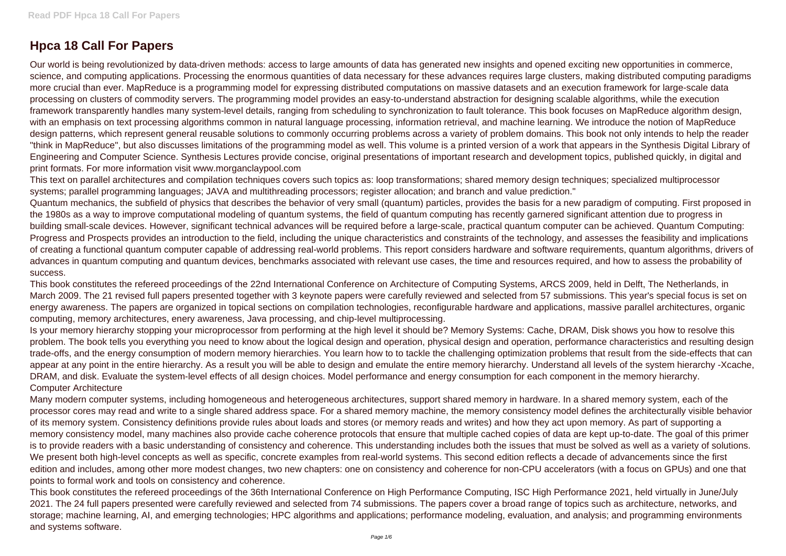## **Hpca 18 Call For Papers**

Our world is being revolutionized by data-driven methods: access to large amounts of data has generated new insights and opened exciting new opportunities in commerce, science, and computing applications. Processing the enormous quantities of data necessary for these advances requires large clusters, making distributed computing paradigms more crucial than ever. MapReduce is a programming model for expressing distributed computations on massive datasets and an execution framework for large-scale data processing on clusters of commodity servers. The programming model provides an easy-to-understand abstraction for designing scalable algorithms, while the execution framework transparently handles many system-level details, ranging from scheduling to synchronization to fault tolerance. This book focuses on MapReduce algorithm design, with an emphasis on text processing algorithms common in natural language processing, information retrieval, and machine learning. We introduce the notion of MapReduce design patterns, which represent general reusable solutions to commonly occurring problems across a variety of problem domains. This book not only intends to help the reader "think in MapReduce", but also discusses limitations of the programming model as well. This volume is a printed version of a work that appears in the Synthesis Digital Library of Engineering and Computer Science. Synthesis Lectures provide concise, original presentations of important research and development topics, published quickly, in digital and print formats. For more information visit www.morganclaypool.com

This text on parallel architectures and compilation techniques covers such topics as: loop transformations; shared memory design techniques; specialized multiprocessor systems; parallel programming languages; JAVA and multithreading processors; register allocation; and branch and value prediction." Quantum mechanics, the subfield of physics that describes the behavior of very small (quantum) particles, provides the basis for a new paradigm of computing. First proposed in the 1980s as a way to improve computational modeling of quantum systems, the field of quantum computing has recently garnered significant attention due to progress in building small-scale devices. However, significant technical advances will be required before a large-scale, practical quantum computer can be achieved. Quantum Computing: Progress and Prospects provides an introduction to the field, including the unique characteristics and constraints of the technology, and assesses the feasibility and implications of creating a functional quantum computer capable of addressing real-world problems. This report considers hardware and software requirements, quantum algorithms, drivers of advances in quantum computing and quantum devices, benchmarks associated with relevant use cases, the time and resources required, and how to assess the probability of success.

This book constitutes the refereed proceedings of the 22nd International Conference on Architecture of Computing Systems, ARCS 2009, held in Delft, The Netherlands, in March 2009. The 21 revised full papers presented together with 3 keynote papers were carefully reviewed and selected from 57 submissions. This year's special focus is set on energy awareness. The papers are organized in topical sections on compilation technologies, reconfigurable hardware and applications, massive parallel architectures, organic computing, memory architectures, enery awareness, Java processing, and chip-level multiprocessing.

Is your memory hierarchy stopping your microprocessor from performing at the high level it should be? Memory Systems: Cache, DRAM, Disk shows you how to resolve this problem. The book tells you everything you need to know about the logical design and operation, physical design and operation, performance characteristics and resulting design trade-offs, and the energy consumption of modern memory hierarchies. You learn how to to tackle the challenging optimization problems that result from the side-effects that can appear at any point in the entire hierarchy. As a result you will be able to design and emulate the entire memory hierarchy. Understand all levels of the system hierarchy -Xcache, DRAM, and disk. Evaluate the system-level effects of all design choices. Model performance and energy consumption for each component in the memory hierarchy. Computer Architecture

Many modern computer systems, including homogeneous and heterogeneous architectures, support shared memory in hardware. In a shared memory system, each of the processor cores may read and write to a single shared address space. For a shared memory machine, the memory consistency model defines the architecturally visible behavior of its memory system. Consistency definitions provide rules about loads and stores (or memory reads and writes) and how they act upon memory. As part of supporting a memory consistency model, many machines also provide cache coherence protocols that ensure that multiple cached copies of data are kept up-to-date. The goal of this primer is to provide readers with a basic understanding of consistency and coherence. This understanding includes both the issues that must be solved as well as a variety of solutions. We present both high-level concepts as well as specific, concrete examples from real-world systems. This second edition reflects a decade of advancements since the first edition and includes, among other more modest changes, two new chapters: one on consistency and coherence for non-CPU accelerators (with a focus on GPUs) and one that points to formal work and tools on consistency and coherence.

This book constitutes the refereed proceedings of the 36th International Conference on High Performance Computing, ISC High Performance 2021, held virtually in June/July 2021. The 24 full papers presented were carefully reviewed and selected from 74 submissions. The papers cover a broad range of topics such as architecture, networks, and storage; machine learning, AI, and emerging technologies; HPC algorithms and applications; performance modeling, evaluation, and analysis; and programming environments and systems software.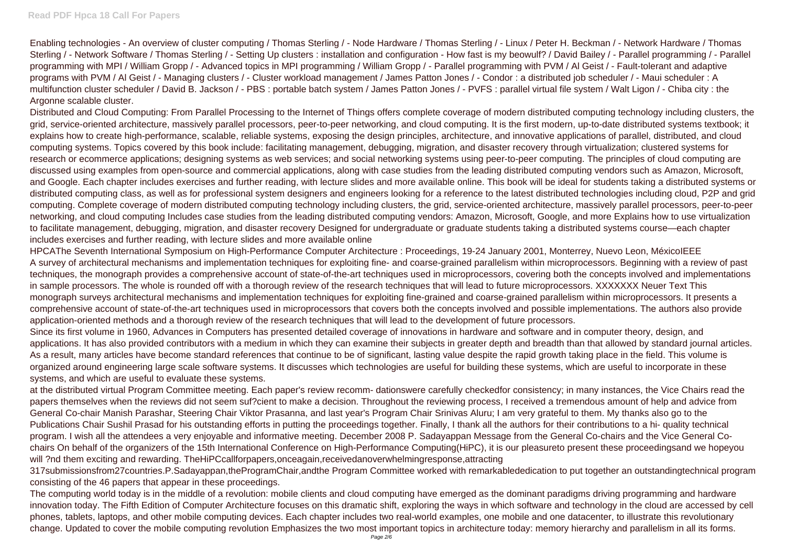Enabling technologies - An overview of cluster computing / Thomas Sterling / - Node Hardware / Thomas Sterling / - Linux / Peter H. Beckman / - Network Hardware / Thomas Sterling / - Network Software / Thomas Sterling / - Setting Up clusters : installation and configuration - How fast is my beowulf? / David Bailey / - Parallel programming / - Parallel programming with MPI / William Gropp / - Advanced topics in MPI programming / William Gropp / - Parallel programming with PVM / Al Geist / - Fault-tolerant and adaptive programs with PVM / Al Geist / - Managing clusters / - Cluster workload management / James Patton Jones / - Condor : a distributed job scheduler / - Maui scheduler : A multifunction cluster scheduler / David B. Jackson / - PBS : portable batch system / James Patton Jones / - PVFS : parallel virtual file system / Walt Ligon / - Chiba city : the Argonne scalable cluster.

Distributed and Cloud Computing: From Parallel Processing to the Internet of Things offers complete coverage of modern distributed computing technology including clusters, the grid, service-oriented architecture, massively parallel processors, peer-to-peer networking, and cloud computing. It is the first modern, up-to-date distributed systems textbook; it explains how to create high-performance, scalable, reliable systems, exposing the design principles, architecture, and innovative applications of parallel, distributed, and cloud computing systems. Topics covered by this book include: facilitating management, debugging, migration, and disaster recovery through virtualization; clustered systems for research or ecommerce applications; designing systems as web services; and social networking systems using peer-to-peer computing. The principles of cloud computing are discussed using examples from open-source and commercial applications, along with case studies from the leading distributed computing vendors such as Amazon, Microsoft, and Google. Each chapter includes exercises and further reading, with lecture slides and more available online. This book will be ideal for students taking a distributed systems or distributed computing class, as well as for professional system designers and engineers looking for a reference to the latest distributed technologies including cloud, P2P and grid computing. Complete coverage of modern distributed computing technology including clusters, the grid, service-oriented architecture, massively parallel processors, peer-to-peer networking, and cloud computing Includes case studies from the leading distributed computing vendors: Amazon, Microsoft, Google, and more Explains how to use virtualization to facilitate management, debugging, migration, and disaster recovery Designed for undergraduate or graduate students taking a distributed systems course—each chapter includes exercises and further reading, with lecture slides and more available online

at the distributed virtual Program Committee meeting. Each paper's review recomm- dationswere carefully checkedfor consistency; in many instances, the Vice Chairs read the papers themselves when the reviews did not seem suf?cient to make a decision. Throughout the reviewing process, I received a tremendous amount of help and advice from General Co-chair Manish Parashar, Steering Chair Viktor Prasanna, and last year's Program Chair Srinivas Aluru; I am very grateful to them. My thanks also go to the Publications Chair Sushil Prasad for his outstanding efforts in putting the proceedings together. Finally, I thank all the authors for their contributions to a hi- quality technical program. I wish all the attendees a very enjoyable and informative meeting. December 2008 P. Sadayappan Message from the General Co-chairs and the Vice General Cochairs On behalf of the organizers of the 15th International Conference on High-Performance Computing(HiPC), it is our pleasureto present these proceedingsand we hopeyou will ?nd them exciting and rewarding. The HiPC callforpapers, once again, receivedanoverwhelming response, attracting

HPCAThe Seventh International Symposium on High-Performance Computer Architecture : Proceedings, 19-24 January 2001, Monterrey, Nuevo Leon, MéxicoIEEE A survey of architectural mechanisms and implementation techniques for exploiting fine- and coarse-grained parallelism within microprocessors. Beginning with a review of past techniques, the monograph provides a comprehensive account of state-of-the-art techniques used in microprocessors, covering both the concepts involved and implementations in sample processors. The whole is rounded off with a thorough review of the research techniques that will lead to future microprocessors. XXXXXXX Neuer Text This monograph surveys architectural mechanisms and implementation techniques for exploiting fine-grained and coarse-grained parallelism within microprocessors. It presents a comprehensive account of state-of-the-art techniques used in microprocessors that covers both the concepts involved and possible implementations. The authors also provide application-oriented methods and a thorough review of the research techniques that will lead to the development of future processors.

Since its first volume in 1960, Advances in Computers has presented detailed coverage of innovations in hardware and software and in computer theory, design, and applications. It has also provided contributors with a medium in which they can examine their subjects in greater depth and breadth than that allowed by standard journal articles. As a result, many articles have become standard references that continue to be of significant, lasting value despite the rapid growth taking place in the field. This volume is organized around engineering large scale software systems. It discusses which technologies are useful for building these systems, which are useful to incorporate in these systems, and which are useful to evaluate these systems.

317submissionsfrom27countries.P.Sadayappan,theProgramChair,andthe Program Committee worked with remarkablededication to put together an outstandingtechnical program consisting of the 46 papers that appear in these proceedings.

The computing world today is in the middle of a revolution: mobile clients and cloud computing have emerged as the dominant paradigms driving programming and hardware innovation today. The Fifth Edition of Computer Architecture focuses on this dramatic shift, exploring the ways in which software and technology in the cloud are accessed by cell phones, tablets, laptops, and other mobile computing devices. Each chapter includes two real-world examples, one mobile and one datacenter, to illustrate this revolutionary change. Updated to cover the mobile computing revolution Emphasizes the two most important topics in architecture today: memory hierarchy and parallelism in all its forms.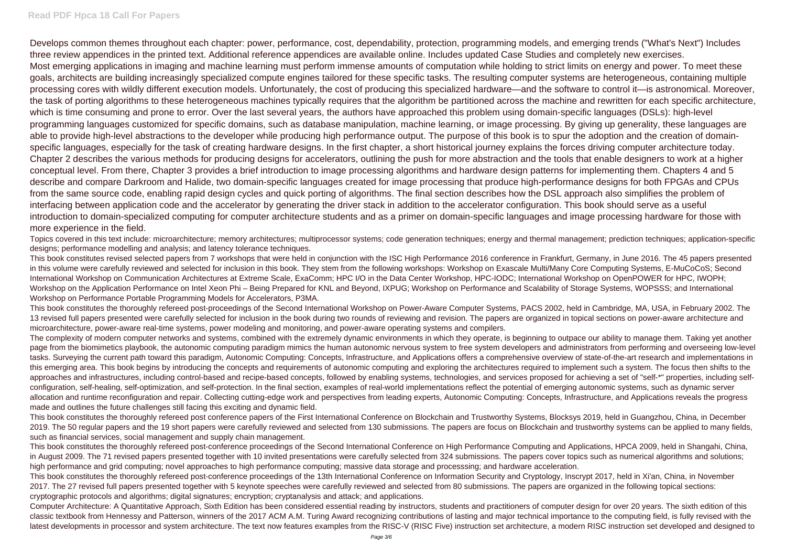Develops common themes throughout each chapter: power, performance, cost, dependability, protection, programming models, and emerging trends ("What's Next") Includes three review appendices in the printed text. Additional reference appendices are available online. Includes updated Case Studies and completely new exercises. Most emerging applications in imaging and machine learning must perform immense amounts of computation while holding to strict limits on energy and power. To meet these goals, architects are building increasingly specialized compute engines tailored for these specific tasks. The resulting computer systems are heterogeneous, containing multiple processing cores with wildly different execution models. Unfortunately, the cost of producing this specialized hardware—and the software to control it—is astronomical. Moreover, the task of porting algorithms to these heterogeneous machines typically requires that the algorithm be partitioned across the machine and rewritten for each specific architecture, which is time consuming and prone to error. Over the last several years, the authors have approached this problem using domain-specific languages (DSLs): high-level programming languages customized for specific domains, such as database manipulation, machine learning, or image processing. By giving up generality, these languages are able to provide high-level abstractions to the developer while producing high performance output. The purpose of this book is to spur the adoption and the creation of domainspecific languages, especially for the task of creating hardware designs. In the first chapter, a short historical journey explains the forces driving computer architecture today. Chapter 2 describes the various methods for producing designs for accelerators, outlining the push for more abstraction and the tools that enable designers to work at a higher conceptual level. From there, Chapter 3 provides a brief introduction to image processing algorithms and hardware design patterns for implementing them. Chapters 4 and 5 describe and compare Darkroom and Halide, two domain-specific languages created for image processing that produce high-performance designs for both FPGAs and CPUs from the same source code, enabling rapid design cycles and quick porting of algorithms. The final section describes how the DSL approach also simplifies the problem of interfacing between application code and the accelerator by generating the driver stack in addition to the accelerator configuration. This book should serve as a useful introduction to domain-specialized computing for computer architecture students and as a primer on domain-specific languages and image processing hardware for those with more experience in the field.

Topics covered in this text include: microarchitecture; memory architectures; multiprocessor systems; code generation techniques; energy and thermal management; prediction techniques; application-specific designs; performance modelling and analysis; and latency tolerance techniques.

This book constitutes the thoroughly refereed post-conference proceedings of the Second International Conference on High Performance Computing and Applications, HPCA 2009, held in Shangahi, China, in August 2009. The 71 revised papers presented together with 10 invited presentations were carefully selected from 324 submissions. The papers cover topics such as numerical algorithms and solutions; high performance and grid computing; novel approaches to high performance computing; massive data storage and processsing; and hardware acceleration.

This book constitutes revised selected papers from 7 workshops that were held in conjunction with the ISC High Performance 2016 conference in Frankfurt, Germany, in June 2016. The 45 papers presented in this volume were carefully reviewed and selected for inclusion in this book. They stem from the following workshops: Workshop on Exascale Multi/Many Core Computing Systems, E-MuCoCoS; Second International Workshop on Communication Architectures at Extreme Scale, ExaComm; HPC I/O in the Data Center Workshop, HPC-IODC; International Workshop on OpenPOWER for HPC, IWOPH; Workshop on the Application Performance on Intel Xeon Phi – Being Prepared for KNL and Beyond, IXPUG; Workshop on Performance and Scalability of Storage Systems, WOPSSS; and International Workshop on Performance Portable Programming Models for Accelerators, P3MA.

This book constitutes the thoroughly refereed post-proceedings of the Second International Workshop on Power-Aware Computer Systems, PACS 2002, held in Cambridge, MA, USA, in February 2002. The 13 revised full papers presented were carefully selected for inclusion in the book during two rounds of reviewing and revision. The papers are organized in topical sections on power-aware architecture and microarchitecture, power-aware real-time systems, power modeling and monitoring, and power-aware operating systems and compilers.

The complexity of modern computer networks and systems, combined with the extremely dynamic environments in which they operate, is beginning to outpace our ability to manage them. Taking yet another page from the biomimetics playbook, the autonomic computing paradigm mimics the human autonomic nervous system to free system developers and administrators from performing and overseeing low-level tasks. Surveying the current path toward this paradigm, Autonomic Computing: Concepts, Infrastructure, and Applications offers a comprehensive overview of state-of-the-art research and implementations in this emerging area. This book begins by introducing the concepts and requirements of autonomic computing and exploring the architectures required to implement such a system. The focus then shifts to the approaches and infrastructures, including control-based and recipe-based concepts, followed by enabling systems, technologies, and services proposed for achieving a set of "self-\*" properties, including selfconfiguration, self-healing, self-optimization, and self-protection. In the final section, examples of real-world implementations reflect the potential of emerging autonomic systems, such as dynamic server allocation and runtime reconfiguration and repair. Collecting cutting-edge work and perspectives from leading experts, Autonomic Computing: Concepts, Infrastructure, and Applications reveals the progress made and outlines the future challenges still facing this exciting and dynamic field.

This book constitutes the thoroughly refereed post conference papers of the First International Conference on Blockchain and Trustworthy Systems, Blocksys 2019, held in Guangzhou, China, in December 2019. The 50 regular papers and the 19 short papers were carefully reviewed and selected from 130 submissions. The papers are focus on Blockchain and trustworthy systems can be applied to many fields, such as financial services, social management and supply chain management.

This book constitutes the thoroughly refereed post-conference proceedings of the 13th International Conference on Information Security and Cryptology, Inscrypt 2017, held in Xi'an, China, in November 2017. The 27 revised full papers presented together with 5 keynote speeches were carefully reviewed and selected from 80 submissions. The papers are organized in the following topical sections: cryptographic protocols and algorithms; digital signatures; encryption; cryptanalysis and attack; and applications.

Computer Architecture: A Quantitative Approach, Sixth Edition has been considered essential reading by instructors, students and practitioners of computer design for over 20 years. The sixth edition of this classic textbook from Hennessy and Patterson, winners of the 2017 ACM A.M. Turing Award recognizing contributions of lasting and major technical importance to the computing field, is fully revised with the latest developments in processor and system architecture. The text now features examples from the RISC-V (RISC Five) instruction set architecture, a modern RISC instruction set developed and designed to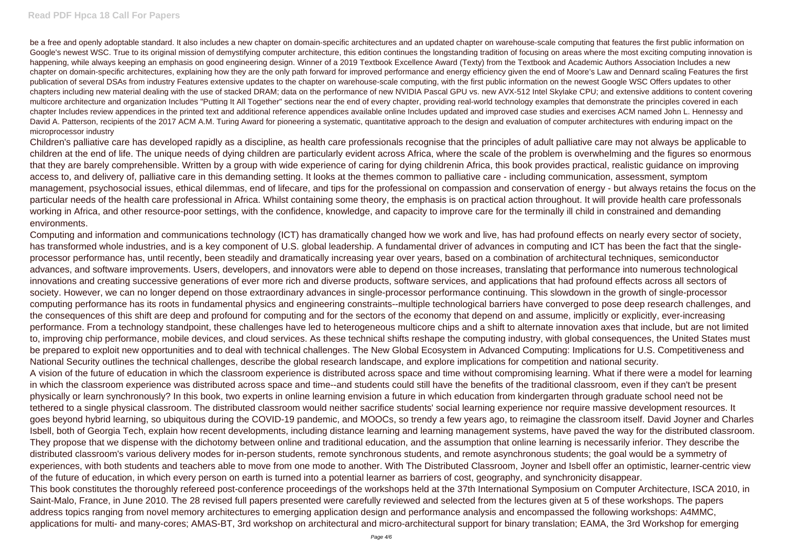be a free and openly adoptable standard. It also includes a new chapter on domain-specific architectures and an updated chapter on warehouse-scale computing that features the first public information on Google's newest WSC. True to its original mission of demystifying computer architecture, this edition continues the longstanding tradition of focusing on areas where the most exciting computing innovation is happening, while always keeping an emphasis on good engineering design. Winner of a 2019 Textbook Excellence Award (Texty) from the Textbook and Academic Authors Association Includes a new chapter on domain-specific architectures, explaining how they are the only path forward for improved performance and energy efficiency given the end of Moore's Law and Dennard scaling Features the first publication of several DSAs from industry Features extensive updates to the chapter on warehouse-scale computing, with the first public information on the newest Google WSC Offers updates to other chapters including new material dealing with the use of stacked DRAM; data on the performance of new NVIDIA Pascal GPU vs. new AVX-512 Intel Skylake CPU; and extensive additions to content covering multicore architecture and organization Includes "Putting It All Together" sections near the end of every chapter, providing real-world technology examples that demonstrate the principles covered in each chapter Includes review appendices in the printed text and additional reference appendices available online Includes updated and improved case studies and exercises ACM named John L. Hennessy and David A. Patterson, recipients of the 2017 ACM A.M. Turing Award for pioneering a systematic, quantitative approach to the design and evaluation of computer architectures with enduring impact on the microprocessor industry

Children's palliative care has developed rapidly as a discipline, as health care professionals recognise that the principles of adult palliative care may not always be applicable to children at the end of life. The unique needs of dying children are particularly evident across Africa, where the scale of the problem is overwhelming and the figures so enormous that they are barely comprehensible. Written by a group with wide experience of caring for dying childrenin Africa, this book provides practical, realistic guidance on improving access to, and delivery of, palliative care in this demanding setting. It looks at the themes common to palliative care - including communication, assessment, symptom management, psychosocial issues, ethical dilemmas, end of lifecare, and tips for the professional on compassion and conservation of energy - but always retains the focus on the particular needs of the health care professional in Africa. Whilst containing some theory, the emphasis is on practical action throughout. It will provide health care professonals working in Africa, and other resource-poor settings, with the confidence, knowledge, and capacity to improve care for the terminally ill child in constrained and demanding environments.

Computing and information and communications technology (ICT) has dramatically changed how we work and live, has had profound effects on nearly every sector of society, has transformed whole industries, and is a key component of U.S. global leadership. A fundamental driver of advances in computing and ICT has been the fact that the singleprocessor performance has, until recently, been steadily and dramatically increasing year over years, based on a combination of architectural techniques, semiconductor advances, and software improvements. Users, developers, and innovators were able to depend on those increases, translating that performance into numerous technological innovations and creating successive generations of ever more rich and diverse products, software services, and applications that had profound effects across all sectors of society. However, we can no longer depend on those extraordinary advances in single-processor performance continuing. This slowdown in the growth of single-processor computing performance has its roots in fundamental physics and engineering constraints--multiple technological barriers have converged to pose deep research challenges, and the consequences of this shift are deep and profound for computing and for the sectors of the economy that depend on and assume, implicitly or explicitly, ever-increasing performance. From a technology standpoint, these challenges have led to heterogeneous multicore chips and a shift to alternate innovation axes that include, but are not limited to, improving chip performance, mobile devices, and cloud services. As these technical shifts reshape the computing industry, with global consequences, the United States must be prepared to exploit new opportunities and to deal with technical challenges. The New Global Ecosystem in Advanced Computing: Implications for U.S. Competitiveness and National Security outlines the technical challenges, describe the global research landscape, and explore implications for competition and national security. A vision of the future of education in which the classroom experience is distributed across space and time without compromising learning. What if there were a model for learning in which the classroom experience was distributed across space and time--and students could still have the benefits of the traditional classroom, even if they can't be present physically or learn synchronously? In this book, two experts in online learning envision a future in which education from kindergarten through graduate school need not be tethered to a single physical classroom. The distributed classroom would neither sacrifice students' social learning experience nor require massive development resources. It goes beyond hybrid learning, so ubiquitous during the COVID-19 pandemic, and MOOCs, so trendy a few years ago, to reimagine the classroom itself. David Joyner and Charles Isbell, both of Georgia Tech, explain how recent developments, including distance learning and learning management systems, have paved the way for the distributed classroom. They propose that we dispense with the dichotomy between online and traditional education, and the assumption that online learning is necessarily inferior. They describe the distributed classroom's various delivery modes for in-person students, remote synchronous students, and remote asynchronous students; the goal would be a symmetry of experiences, with both students and teachers able to move from one mode to another. With The Distributed Classroom, Joyner and Isbell offer an optimistic, learner-centric view of the future of education, in which every person on earth is turned into a potential learner as barriers of cost, geography, and synchronicity disappear. This book constitutes the thoroughly refereed post-conference proceedings of the workshops held at the 37th International Symposium on Computer Architecture, ISCA 2010, in Saint-Malo, France, in June 2010. The 28 revised full papers presented were carefully reviewed and selected from the lectures given at 5 of these workshops. The papers address topics ranging from novel memory architectures to emerging application design and performance analysis and encompassed the following workshops: A4MMC, applications for multi- and many-cores; AMAS-BT, 3rd workshop on architectural and micro-architectural support for binary translation; EAMA, the 3rd Workshop for emerging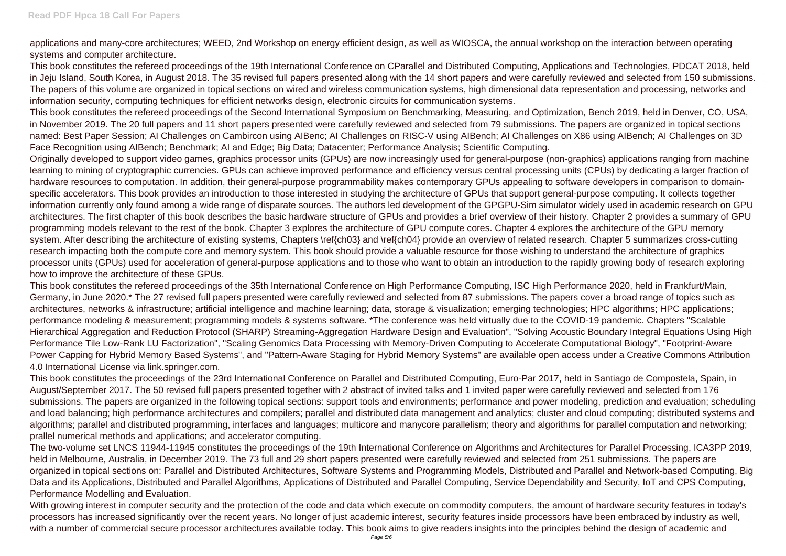applications and many-core architectures; WEED, 2nd Workshop on energy efficient design, as well as WIOSCA, the annual workshop on the interaction between operating systems and computer architecture.

This book constitutes the refereed proceedings of the 19th International Conference on CParallel and Distributed Computing, Applications and Technologies, PDCAT 2018, held in Jeju Island, South Korea, in August 2018. The 35 revised full papers presented along with the 14 short papers and were carefully reviewed and selected from 150 submissions. The papers of this volume are organized in topical sections on wired and wireless communication systems, high dimensional data representation and processing, networks and information security, computing techniques for efficient networks design, electronic circuits for communication systems.

This book constitutes the refereed proceedings of the Second International Symposium on Benchmarking, Measuring, and Optimization, Bench 2019, held in Denver, CO, USA, in November 2019. The 20 full papers and 11 short papers presented were carefully reviewed and selected from 79 submissions. The papers are organized in topical sections named: Best Paper Session; AI Challenges on Cambircon using AIBenc; AI Challenges on RISC-V using AIBench; AI Challenges on X86 using AIBench; AI Challenges on 3D Face Recognition using AIBench; Benchmark; AI and Edge; Big Data; Datacenter; Performance Analysis; Scientific Computing.

Originally developed to support video games, graphics processor units (GPUs) are now increasingly used for general-purpose (non-graphics) applications ranging from machine learning to mining of cryptographic currencies. GPUs can achieve improved performance and efficiency versus central processing units (CPUs) by dedicating a larger fraction of hardware resources to computation. In addition, their general-purpose programmability makes contemporary GPUs appealing to software developers in comparison to domainspecific accelerators. This book provides an introduction to those interested in studying the architecture of GPUs that support general-purpose computing. It collects together information currently only found among a wide range of disparate sources. The authors led development of the GPGPU-Sim simulator widely used in academic research on GPU architectures. The first chapter of this book describes the basic hardware structure of GPUs and provides a brief overview of their history. Chapter 2 provides a summary of GPU programming models relevant to the rest of the book. Chapter 3 explores the architecture of GPU compute cores. Chapter 4 explores the architecture of the GPU memory system. After describing the architecture of existing systems, Chapters \ref{ch03} and \ref{ch04} provide an overview of related research. Chapter 5 summarizes cross-cutting research impacting both the compute core and memory system. This book should provide a valuable resource for those wishing to understand the architecture of graphics processor units (GPUs) used for acceleration of general-purpose applications and to those who want to obtain an introduction to the rapidly growing body of research exploring how to improve the architecture of these GPUs.

With growing interest in computer security and the protection of the code and data which execute on commodity computers, the amount of hardware security features in today's processors has increased significantly over the recent years. No longer of just academic interest, security features inside processors have been embraced by industry as well, with a number of commercial secure processor architectures available today. This book aims to give readers insights into the principles behind the design of academic and

This book constitutes the refereed proceedings of the 35th International Conference on High Performance Computing, ISC High Performance 2020, held in Frankfurt/Main, Germany, in June 2020.\* The 27 revised full papers presented were carefully reviewed and selected from 87 submissions. The papers cover a broad range of topics such as architectures, networks & infrastructure; artificial intelligence and machine learning; data, storage & visualization; emerging technologies; HPC algorithms; HPC applications; performance modeling & measurement; programming models & systems software. \*The conference was held virtually due to the COVID-19 pandemic. Chapters "Scalable Hierarchical Aggregation and Reduction Protocol (SHARP) Streaming-Aggregation Hardware Design and Evaluation", "Solving Acoustic Boundary Integral Equations Using High Performance Tile Low-Rank LU Factorization", "Scaling Genomics Data Processing with Memory-Driven Computing to Accelerate Computational Biology", "Footprint-Aware Power Capping for Hybrid Memory Based Systems", and "Pattern-Aware Staging for Hybrid Memory Systems" are available open access under a Creative Commons Attribution 4.0 International License via link.springer.com.

This book constitutes the proceedings of the 23rd International Conference on Parallel and Distributed Computing, Euro-Par 2017, held in Santiago de Compostela, Spain, in August/September 2017. The 50 revised full papers presented together with 2 abstract of invited talks and 1 invited paper were carefully reviewed and selected from 176 submissions. The papers are organized in the following topical sections: support tools and environments; performance and power modeling, prediction and evaluation; scheduling and load balancing; high performance architectures and compilers; parallel and distributed data management and analytics; cluster and cloud computing; distributed systems and algorithms; parallel and distributed programming, interfaces and languages; multicore and manycore parallelism; theory and algorithms for parallel computation and networking; prallel numerical methods and applications; and accelerator computing.

The two-volume set LNCS 11944-11945 constitutes the proceedings of the 19th International Conference on Algorithms and Architectures for Parallel Processing, ICA3PP 2019, held in Melbourne, Australia, in December 2019. The 73 full and 29 short papers presented were carefully reviewed and selected from 251 submissions. The papers are organized in topical sections on: Parallel and Distributed Architectures, Software Systems and Programming Models, Distributed and Parallel and Network-based Computing, Big Data and its Applications, Distributed and Parallel Algorithms, Applications of Distributed and Parallel Computing, Service Dependability and Security, IoT and CPS Computing, Performance Modelling and Evaluation.